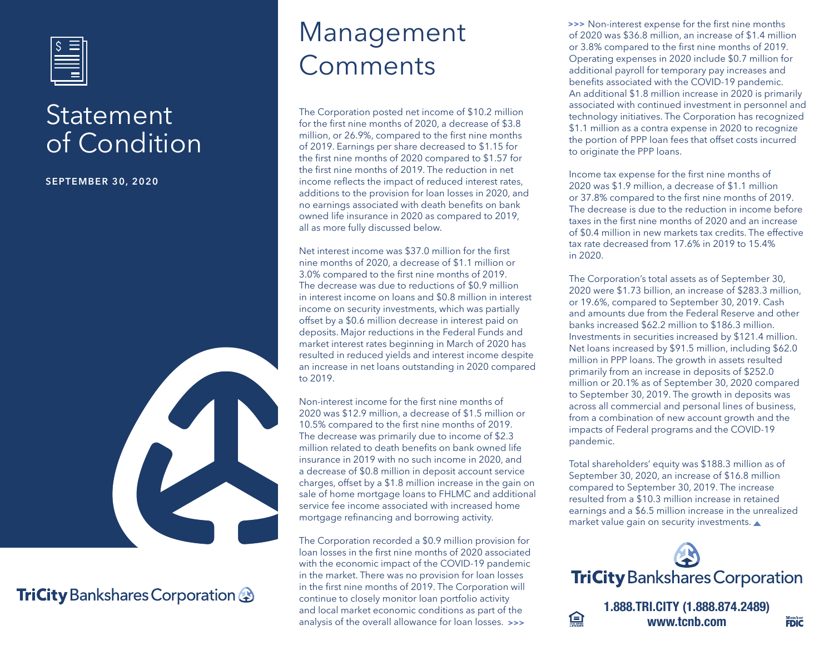

### Statement of Condition

**SEPTEMBER 30, 2020**



#### **TriCity** Bankshares Corporation

## Management Comments

The Corporation posted net income of \$10.2 million for the first nine months of 2020, a decrease of \$3.8 million, or 26.9%, compared to the first nine months of 2019. Earnings per share decreased to \$1.15 for the first nine months of 2020 compared to \$1.57 for the first nine months of 2019. The reduction in net income reflects the impact of reduced interest rates, additions to the provision for loan losses in 2020, and no earnings associated with death benefits on bank owned life insurance in 2020 as compared to 2019, all as more fully discussed below.

Net interest income was \$37.0 million for the first nine months of 2020, a decrease of \$1.1 million or 3.0% compared to the first nine months of 2019. The decrease was due to reductions of \$0.9 million in interest income on loans and \$0.8 million in interest income on security investments, which was partially offset by a \$0.6 million decrease in interest paid on deposits. Major reductions in the Federal Funds and market interest rates beginning in March of 2020 has resulted in reduced yields and interest income despite an increase in net loans outstanding in 2020 compared to 2019.

Non-interest income for the first nine months of 2020 was \$12.9 million, a decrease of \$1.5 million or 10.5% compared to the first nine months of 2019. The decrease was primarily due to income of \$2.3 million related to death benefits on bank owned life insurance in 2019 with no such income in 2020, and a decrease of \$0.8 million in deposit account service charges, offset by a \$1.8 million increase in the gain on sale of home mortgage loans to FHLMC and additional service fee income associated with increased home mortgage refinancing and borrowing activity.

The Corporation recorded a \$0.9 million provision for loan losses in the first nine months of 2020 associated with the economic impact of the COVID-19 pandemic in the market. There was no provision for loan losses in the first nine months of 2019. The Corporation will continue to closely monitor loan portfolio activity and local market economic conditions as part of the analysis of the overall allowance for loan losses. **>>>**

**>>>** Non-interest expense for the first nine months of 2020 was \$36.8 million, an increase of \$1.4 million or 3.8% compared to the first nine months of 2019. Operating expenses in 2020 include \$0.7 million for additional payroll for temporary pay increases and benefits associated with the COVID-19 pandemic. An additional \$1.8 million increase in 2020 is primarily associated with continued investment in personnel and technology initiatives. The Corporation has recognized \$1.1 million as a contra expense in 2020 to recognize the portion of PPP loan fees that offset costs incurred to originate the PPP loans.

Income tax expense for the first nine months of 2020 was \$1.9 million, a decrease of \$1.1 million or 37.8% compared to the first nine months of 2019. The decrease is due to the reduction in income before taxes in the first nine months of 2020 and an increase of \$0.4 million in new markets tax credits. The effective tax rate decreased from 17.6% in 2019 to 15.4% in 2020.

The Corporation's total assets as of September 30, 2020 were \$1.73 billion, an increase of \$283.3 million, or 19.6%, compared to September 30, 2019. Cash and amounts due from the Federal Reserve and other banks increased \$62.2 million to \$186.3 million. Investments in securities increased by \$121.4 million. Net loans increased by \$91.5 million, including \$62.0 million in PPP loans. The growth in assets resulted primarily from an increase in deposits of \$252.0 million or 20.1% as of September 30, 2020 compared to September 30, 2019. The growth in deposits was across all commercial and personal lines of business, from a combination of new account growth and the impacts of Federal programs and the COVID-19 pandemic.

Total shareholders' equity was \$188.3 million as of September 30, 2020, an increase of \$16.8 million compared to September 30, 2019. The increase resulted from a \$10.3 million increase in retained earnings and a \$6.5 million increase in the unrealized market value gain on security investments.